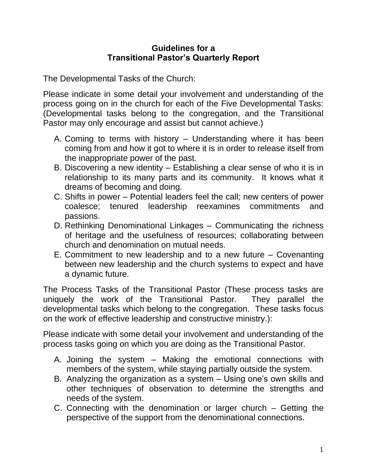## **Guidelines for a Transitional Pastor's Quarterly Report**

The Developmental Tasks of the Church:

Please indicate in some detail your involvement and understanding of the process going on in the church for each of the Five Developmental Tasks: (Developmental tasks belong to the congregation, and the Transitional Pastor may only encourage and assist but cannot achieve.)

- A. Coming to terms with history Understanding where it has been coming from and how it got to where it is in order to release itself from the inappropriate power of the past.
- B. Discovering a new identity Establishing a clear sense of who it is in relationship to its many parts and its community. It knows what it dreams of becoming and doing.
- C. Shifts in power Potential leaders feel the call; new centers of power coalesce; tenured leadership reexamines commitments and passions.
- D. Rethinking Denominational Linkages Communicating the richness of heritage and the usefulness of resources; collaborating between church and denomination on mutual needs.
- E. Commitment to new leadership and to a new future Covenanting between new leadership and the church systems to expect and have a dynamic future.

The Process Tasks of the Transitional Pastor (These process tasks are uniquely the work of the Transitional Pastor. They parallel the developmental tasks which belong to the congregation. These tasks focus on the work of effective leadership and constructive ministry.):

Please indicate with some detail your involvement and understanding of the process tasks going on which you are doing as the Transitional Pastor.

- A. Joining the system Making the emotional connections with members of the system, while staying partially outside the system.
- B. Analyzing the organization as a system Using one's own skills and other techniques of observation to determine the strengths and needs of the system.
- C. Connecting with the denomination or larger church Getting the perspective of the support from the denominational connections.